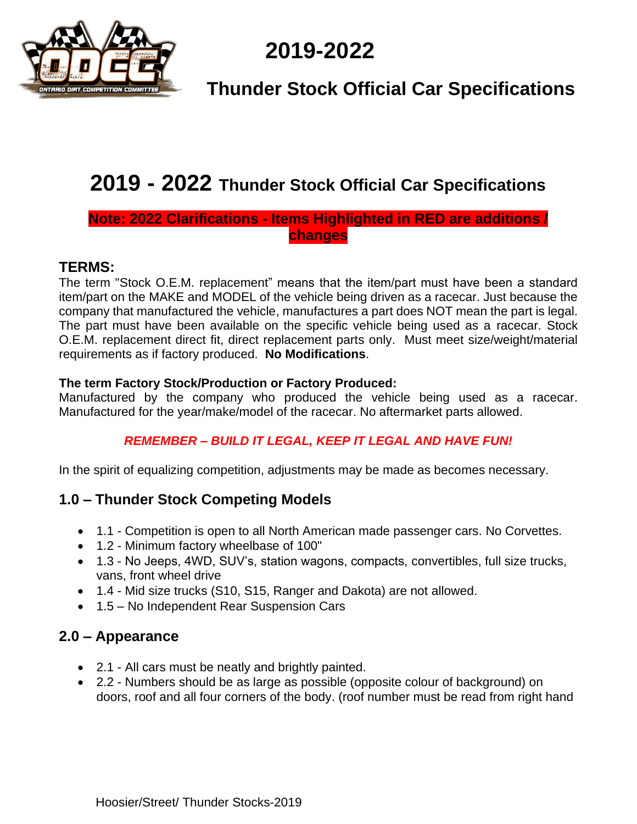

# **2019-2022**

# **Thunder Stock Official Car Specifications**

# **2019 - 2022 Thunder Stock Official Car Specifications**

# **Note: 2022 Clarifications - Items Highlighted in RED are additions / changes**

#### **TERMS:**

The term "Stock O.E.M. replacement" means that the item/part must have been a standard item/part on the MAKE and MODEL of the vehicle being driven as a racecar. Just because the company that manufactured the vehicle, manufactures a part does NOT mean the part is legal. The part must have been available on the specific vehicle being used as a racecar. Stock O.E.M. replacement direct fit, direct replacement parts only. Must meet size/weight/material requirements as if factory produced. **No Modifications**.

#### **The term Factory Stock/Production or Factory Produced:**

Manufactured by the company who produced the vehicle being used as a racecar. Manufactured for the year/make/model of the racecar. No aftermarket parts allowed.

#### *REMEMBER – BUILD IT LEGAL, KEEP IT LEGAL AND HAVE FUN!*

In the spirit of equalizing competition, adjustments may be made as becomes necessary.

#### **1.0 – Thunder Stock Competing Models**

- 1.1 Competition is open to all North American made passenger cars. No Corvettes.
- 1.2 Minimum factory wheelbase of 100"
- 1.3 No Jeeps, 4WD, SUV's, station wagons, compacts, convertibles, full size trucks, vans, front wheel drive
- 1.4 Mid size trucks (S10, S15, Ranger and Dakota) are not allowed.
- 1.5 No Independent Rear Suspension Cars

# **2.0 – Appearance**

- 2.1 All cars must be neatly and brightly painted.
- 2.2 Numbers should be as large as possible (opposite colour of background) on doors, roof and all four corners of the body. (roof number must be read from right hand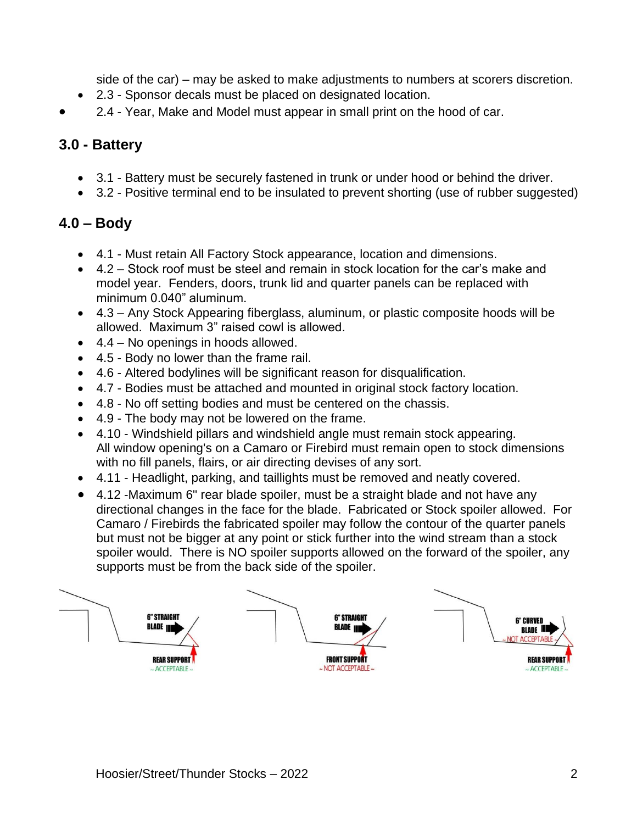side of the car) – may be asked to make adjustments to numbers at scorers discretion.

- 2.3 Sponsor decals must be placed on designated location.
- 2.4 Year, Make and Model must appear in small print on the hood of car.

#### **3.0 - Battery**

- 3.1 Battery must be securely fastened in trunk or under hood or behind the driver.
- 3.2 Positive terminal end to be insulated to prevent shorting (use of rubber suggested)

# **4.0 – Body**

- 4.1 Must retain All Factory Stock appearance, location and dimensions.
- 4.2 Stock roof must be steel and remain in stock location for the car's make and model year. Fenders, doors, trunk lid and quarter panels can be replaced with minimum 0.040" aluminum.
- 4.3 Any Stock Appearing fiberglass, aluminum, or plastic composite hoods will be allowed. Maximum 3" raised cowl is allowed.
- 4.4 No openings in hoods allowed.
- 4.5 Body no lower than the frame rail.
- 4.6 Altered bodylines will be significant reason for disqualification.
- 4.7 Bodies must be attached and mounted in original stock factory location.
- 4.8 No off setting bodies and must be centered on the chassis.
- 4.9 The body may not be lowered on the frame.
- 4.10 Windshield pillars and windshield angle must remain stock appearing. All window opening's on a Camaro or Firebird must remain open to stock dimensions with no fill panels, flairs, or air directing devises of any sort.
- 4.11 Headlight, parking, and taillights must be removed and neatly covered.
- 4.12 -Maximum 6" rear blade spoiler, must be a straight blade and not have any directional changes in the face for the blade. Fabricated or Stock spoiler allowed. For Camaro / Firebirds the fabricated spoiler may follow the contour of the quarter panels but must not be bigger at any point or stick further into the wind stream than a stock spoiler would. There is NO spoiler supports allowed on the forward of the spoiler, any supports must be from the back side of the spoiler.

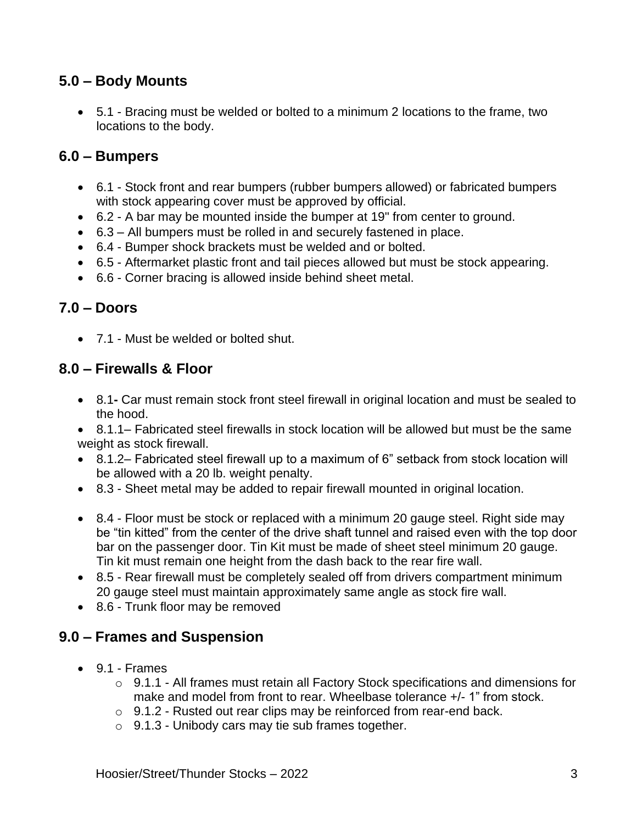# **5.0 – Body Mounts**

• 5.1 - Bracing must be welded or bolted to a minimum 2 locations to the frame, two locations to the body.

#### **6.0 – Bumpers**

- 6.1 Stock front and rear bumpers (rubber bumpers allowed) or fabricated bumpers with stock appearing cover must be approved by official.
- 6.2 A bar may be mounted inside the bumper at 19" from center to ground.
- 6.3 All bumpers must be rolled in and securely fastened in place.
- 6.4 Bumper shock brackets must be welded and or bolted.
- 6.5 Aftermarket plastic front and tail pieces allowed but must be stock appearing.
- 6.6 Corner bracing is allowed inside behind sheet metal.

#### **7.0 – Doors**

• 7.1 - Must be welded or bolted shut.

#### **8.0 – Firewalls & Floor**

• 8.1**-** Car must remain stock front steel firewall in original location and must be sealed to the hood.

• 8.1.1– Fabricated steel firewalls in stock location will be allowed but must be the same weight as stock firewall.

- 8.1.2– Fabricated steel firewall up to a maximum of 6" setback from stock location will be allowed with a 20 lb. weight penalty.
- 8.3 Sheet metal may be added to repair firewall mounted in original location.
- 8.4 Floor must be stock or replaced with a minimum 20 gauge steel. Right side may be "tin kitted" from the center of the drive shaft tunnel and raised even with the top door bar on the passenger door. Tin Kit must be made of sheet steel minimum 20 gauge. Tin kit must remain one height from the dash back to the rear fire wall.
- 8.5 Rear firewall must be completely sealed off from drivers compartment minimum 20 gauge steel must maintain approximately same angle as stock fire wall.
- 8.6 Trunk floor may be removed

# **9.0 – Frames and Suspension**

- 9.1 Frames
	- o 9.1.1 All frames must retain all Factory Stock specifications and dimensions for make and model from front to rear. Wheelbase tolerance +/- 1" from stock.
	- o 9.1.2 Rusted out rear clips may be reinforced from rear-end back.
	- o 9.1.3 Unibody cars may tie sub frames together.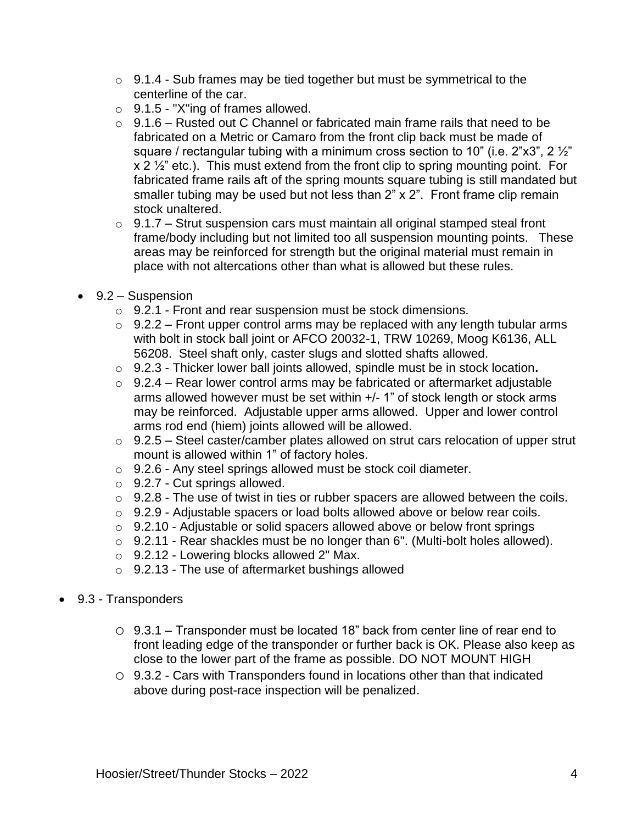- o 9.1.4 Sub frames may be tied together but must be symmetrical to the centerline of the car.
- $\circ$  9.1.5 "X"ing of frames allowed.
- $\circ$  9.1.6 Rusted out C Channel or fabricated main frame rails that need to be fabricated on a Metric or Camaro from the front clip back must be made of square / rectangular tubing with a minimum cross section to 10" (i.e.  $2"x3"$ ,  $2'z"$  $x$  2  $\frac{1}{2}$ " etc.). This must extend from the front clip to spring mounting point. For fabricated frame rails aft of the spring mounts square tubing is still mandated but smaller tubing may be used but not less than 2" x 2". Front frame clip remain stock unaltered.
- $\circ$  9.1.7 Strut suspension cars must maintain all original stamped steal front frame/body including but not limited too all suspension mounting points. These areas may be reinforced for strength but the original material must remain in place with not altercations other than what is allowed but these rules.
- 9.2 Suspension
	- o 9.2.1 Front and rear suspension must be stock dimensions.
	- $\circ$  9.2.2 Front upper control arms may be replaced with any length tubular arms with bolt in stock ball joint or AFCO 20032-1, TRW 10269, Moog K6136, ALL 56208. Steel shaft only, caster slugs and slotted shafts allowed.
	- o 9.2.3 Thicker lower ball joints allowed, spindle must be in stock location**.**
	- $\circ$  9.2.4 Rear lower control arms may be fabricated or aftermarket adjustable arms allowed however must be set within +/- 1" of stock length or stock arms may be reinforced. Adjustable upper arms allowed. Upper and lower control arms rod end (hiem) joints allowed will be allowed.
	- o 9.2.5 Steel caster/camber plates allowed on strut cars relocation of upper strut mount is allowed within 1" of factory holes.
	- o 9.2.6 Any steel springs allowed must be stock coil diameter.
	- $\circ$  9.2.7 Cut springs allowed.
	- $\circ$  9.2.8 The use of twist in ties or rubber spacers are allowed between the coils.
	- o 9.2.9 Adjustable spacers or load bolts allowed above or below rear coils.
	- o 9.2.10 Adjustable or solid spacers allowed above or below front springs
	- $\circ$  9.2.11 Rear shackles must be no longer than 6". (Multi-bolt holes allowed).
	- $\circ$  9.2.12 Lowering blocks allowed 2" Max.
	- $\circ$  9.2.13 The use of aftermarket bushings allowed
- 9.3 Transponders
	- o 9.3.1 Transponder must be located 18" back from center line of rear end to front leading edge of the transponder or further back is OK. Please also keep as close to the lower part of the frame as possible. DO NOT MOUNT HIGH
	- o 9.3.2 Cars with Transponders found in locations other than that indicated above during post-race inspection will be penalized.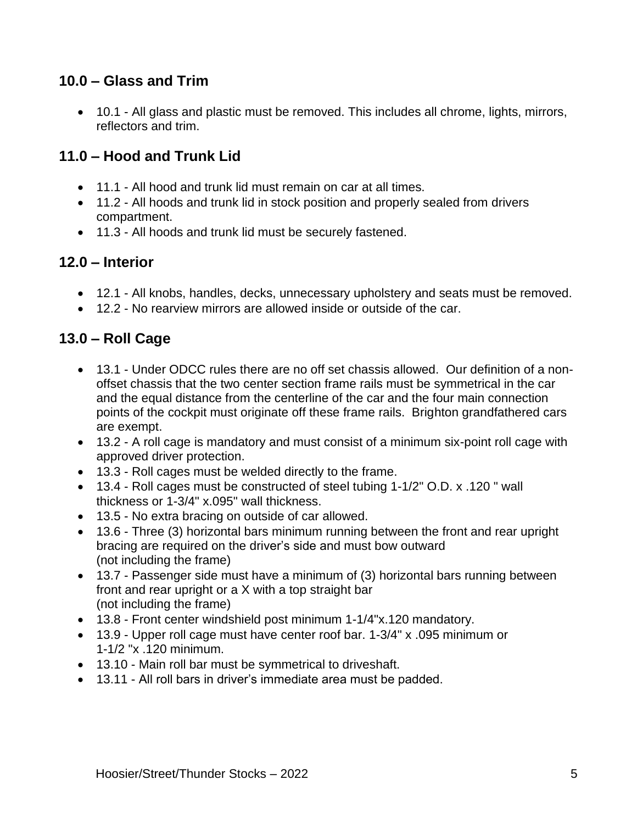# **10.0 – Glass and Trim**

• 10.1 - All glass and plastic must be removed. This includes all chrome, lights, mirrors, reflectors and trim.

# **11.0 – Hood and Trunk Lid**

- 11.1 All hood and trunk lid must remain on car at all times.
- 11.2 All hoods and trunk lid in stock position and properly sealed from drivers compartment.
- 11.3 All hoods and trunk lid must be securely fastened.

#### **12.0 – Interior**

- 12.1 All knobs, handles, decks, unnecessary upholstery and seats must be removed.
- 12.2 No rearview mirrors are allowed inside or outside of the car.

# **13.0 – Roll Cage**

- 13.1 Under ODCC rules there are no off set chassis allowed. Our definition of a nonoffset chassis that the two center section frame rails must be symmetrical in the car and the equal distance from the centerline of the car and the four main connection points of the cockpit must originate off these frame rails. Brighton grandfathered cars are exempt.
- 13.2 A roll cage is mandatory and must consist of a minimum six-point roll cage with approved driver protection.
- 13.3 Roll cages must be welded directly to the frame.
- 13.4 Roll cages must be constructed of steel tubing 1-1/2" O.D. x .120 " wall thickness or 1-3/4" x.095" wall thickness.
- 13.5 No extra bracing on outside of car allowed.
- 13.6 Three (3) horizontal bars minimum running between the front and rear upright bracing are required on the driver's side and must bow outward (not including the frame)
- 13.7 Passenger side must have a minimum of (3) horizontal bars running between front and rear upright or a X with a top straight bar (not including the frame)
- 13.8 Front center windshield post minimum 1-1/4"x.120 mandatory.
- 13.9 Upper roll cage must have center roof bar. 1-3/4" x .095 minimum or 1-1/2 "x .120 minimum.
- 13.10 Main roll bar must be symmetrical to driveshaft.
- 13.11 All roll bars in driver's immediate area must be padded.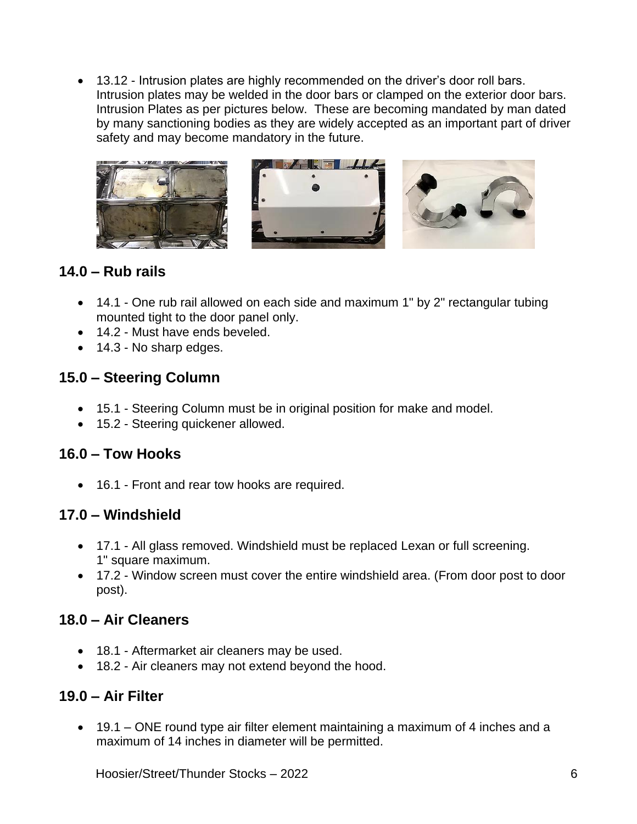• 13.12 - Intrusion plates are highly recommended on the driver's door roll bars. Intrusion plates may be welded in the door bars or clamped on the exterior door bars. Intrusion Plates as per pictures below. These are becoming mandated by man dated by many sanctioning bodies as they are widely accepted as an important part of driver safety and may become mandatory in the future.



#### **14.0 – Rub rails**

- 14.1 One rub rail allowed on each side and maximum 1" by 2" rectangular tubing mounted tight to the door panel only.
- 14.2 Must have ends beveled.
- 14.3 No sharp edges.

# **15.0 – Steering Column**

- 15.1 Steering Column must be in original position for make and model.
- 15.2 Steering quickener allowed.

# **16.0 – Tow Hooks**

• 16.1 - Front and rear tow hooks are required.

# **17.0 – Windshield**

- 17.1 All glass removed. Windshield must be replaced Lexan or full screening. 1" square maximum.
- 17.2 Window screen must cover the entire windshield area. (From door post to door post).

#### **18.0 – Air Cleaners**

- 18.1 Aftermarket air cleaners may be used.
- 18.2 Air cleaners may not extend beyond the hood.

# **19.0 – Air Filter**

• 19.1 – ONE round type air filter element maintaining a maximum of 4 inches and a maximum of 14 inches in diameter will be permitted.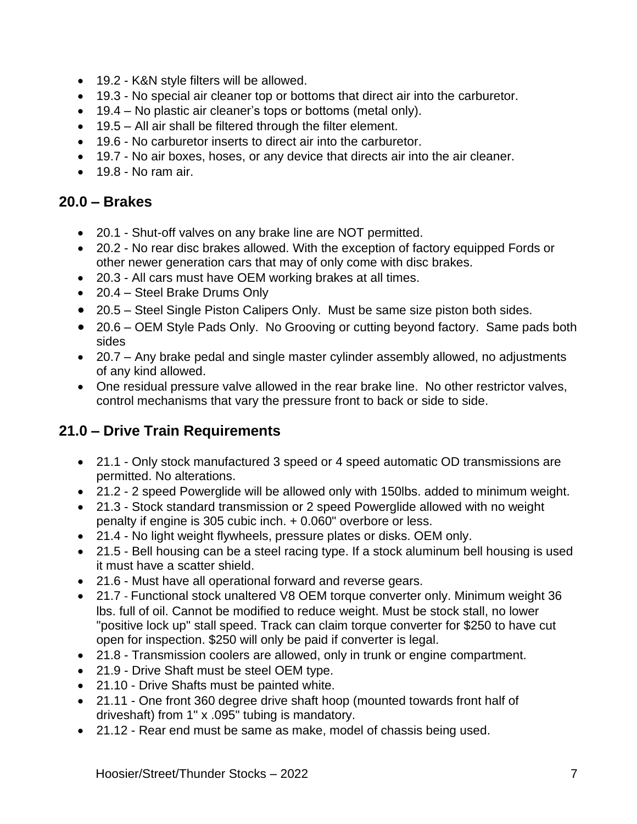- 19.2 K&N style filters will be allowed.
- 19.3 No special air cleaner top or bottoms that direct air into the carburetor.
- 19.4 No plastic air cleaner's tops or bottoms (metal only).
- 19.5 All air shall be filtered through the filter element.
- 19.6 No carburetor inserts to direct air into the carburetor.
- 19.7 No air boxes, hoses, or any device that directs air into the air cleaner.
- 19.8 No ram air.

#### **20.0 – Brakes**

- 20.1 Shut-off valves on any brake line are NOT permitted.
- 20.2 No rear disc brakes allowed. With the exception of factory equipped Fords or other newer generation cars that may of only come with disc brakes.
- 20.3 All cars must have OEM working brakes at all times.
- 20.4 Steel Brake Drums Only
- 20.5 Steel Single Piston Calipers Only. Must be same size piston both sides.
- 20.6 OEM Style Pads Only. No Grooving or cutting beyond factory. Same pads both sides
- 20.7 Any brake pedal and single master cylinder assembly allowed, no adjustments of any kind allowed.
- One residual pressure valve allowed in the rear brake line. No other restrictor valves, control mechanisms that vary the pressure front to back or side to side.

# **21.0 – Drive Train Requirements**

- 21.1 Only stock manufactured 3 speed or 4 speed automatic OD transmissions are permitted. No alterations.
- 21.2 2 speed Powerglide will be allowed only with 150lbs. added to minimum weight.
- 21.3 Stock standard transmission or 2 speed Powerglide allowed with no weight penalty if engine is 305 cubic inch. + 0.060" overbore or less.
- 21.4 No light weight flywheels, pressure plates or disks. OEM only.
- 21.5 Bell housing can be a steel racing type. If a stock aluminum bell housing is used it must have a scatter shield.
- 21.6 Must have all operational forward and reverse gears.
- 21.7 Functional stock unaltered V8 OEM torque converter only. Minimum weight 36 lbs. full of oil. Cannot be modified to reduce weight. Must be stock stall, no lower "positive lock up" stall speed. Track can claim torque converter for \$250 to have cut open for inspection. \$250 will only be paid if converter is legal.
- 21.8 Transmission coolers are allowed, only in trunk or engine compartment.
- 21.9 Drive Shaft must be steel OEM type.
- 21.10 Drive Shafts must be painted white.
- 21.11 One front 360 degree drive shaft hoop (mounted towards front half of driveshaft) from 1" x .095" tubing is mandatory.
- 21.12 Rear end must be same as make, model of chassis being used.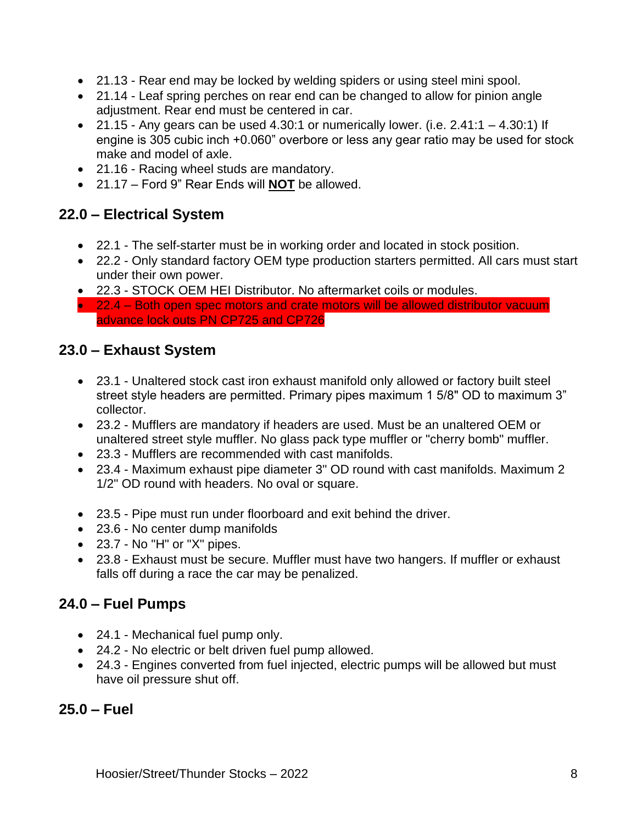- 21.13 Rear end may be locked by welding spiders or using steel mini spool.
- 21.14 Leaf spring perches on rear end can be changed to allow for pinion angle adjustment. Rear end must be centered in car.
- 21.15 Any gears can be used 4.30:1 or numerically lower. (i.e.  $2.41:1 4.30:1$ ) If engine is 305 cubic inch +0.060" overbore or less any gear ratio may be used for stock make and model of axle.
- 21.16 Racing wheel studs are mandatory.
- 21.17 Ford 9" Rear Ends will **NOT** be allowed.

# **22.0 – Electrical System**

- 22.1 The self-starter must be in working order and located in stock position.
- 22.2 Only standard factory OEM type production starters permitted. All cars must start under their own power.
- 22.3 STOCK OEM HEI Distributor. No aftermarket coils or modules.
- 22.4 Both open spec motors and crate motors will be allowed distributor vacuum advance lock outs PN CP725 and CP726

# **23.0 – Exhaust System**

- 23.1 Unaltered stock cast iron exhaust manifold only allowed or factory built steel street style headers are permitted. Primary pipes maximum 1 5/8" OD to maximum 3" collector.
- 23.2 Mufflers are mandatory if headers are used. Must be an unaltered OEM or unaltered street style muffler. No glass pack type muffler or "cherry bomb" muffler.
- 23.3 Mufflers are recommended with cast manifolds.
- 23.4 Maximum exhaust pipe diameter 3" OD round with cast manifolds. Maximum 2 1/2" OD round with headers. No oval or square.
- 23.5 Pipe must run under floorboard and exit behind the driver.
- 23.6 No center dump manifolds
- 23.7 No "H" or "X" pipes.
- 23.8 Exhaust must be secure. Muffler must have two hangers. If muffler or exhaust falls off during a race the car may be penalized.

# **24.0 – Fuel Pumps**

- 24.1 Mechanical fuel pump only.
- 24.2 No electric or belt driven fuel pump allowed.
- 24.3 Engines converted from fuel injected, electric pumps will be allowed but must have oil pressure shut off.

#### **25.0 – Fuel**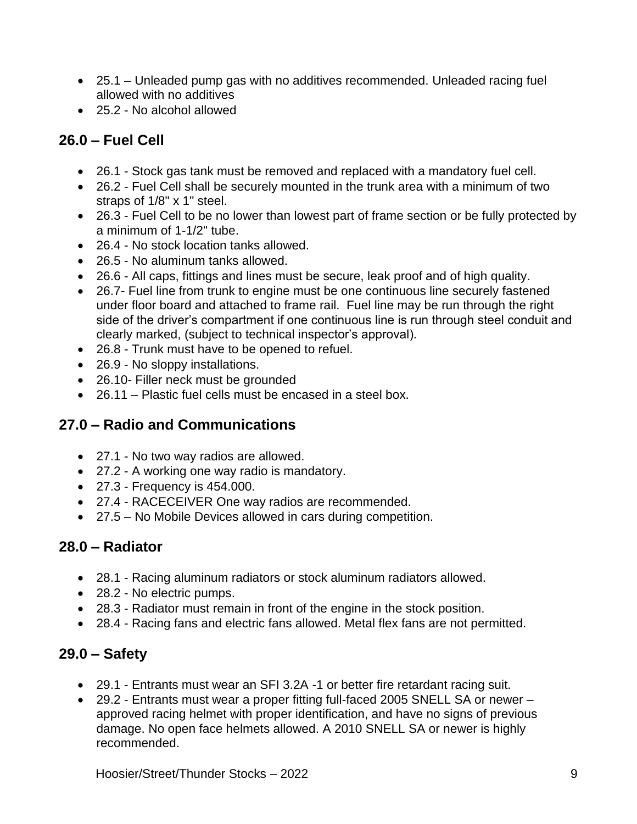- 25.1 Unleaded pump gas with no additives recommended. Unleaded racing fuel allowed with no additives
- 25.2 No alcohol allowed

# **26.0 – Fuel Cell**

- 26.1 Stock gas tank must be removed and replaced with a mandatory fuel cell.
- 26.2 Fuel Cell shall be securely mounted in the trunk area with a minimum of two straps of 1/8" x 1" steel.
- 26.3 Fuel Cell to be no lower than lowest part of frame section or be fully protected by a minimum of 1-1/2" tube.
- 26.4 No stock location tanks allowed.
- 26.5 No aluminum tanks allowed.
- 26.6 All caps, fittings and lines must be secure, leak proof and of high quality.
- 26.7- Fuel line from trunk to engine must be one continuous line securely fastened under floor board and attached to frame rail. Fuel line may be run through the right side of the driver's compartment if one continuous line is run through steel conduit and clearly marked, (subject to technical inspector's approval).
- 26.8 Trunk must have to be opened to refuel.
- 26.9 No sloppy installations.
- 26.10- Filler neck must be grounded
- 26.11 Plastic fuel cells must be encased in a steel box.

# **27.0 – Radio and Communications**

- 27.1 No two way radios are allowed.
- 27.2 A working one way radio is mandatory.
- 27.3 Frequency is 454.000.
- 27.4 RACECEIVER One way radios are recommended.
- 27.5 No Mobile Devices allowed in cars during competition.

# **28.0 – Radiator**

- 28.1 Racing aluminum radiators or stock aluminum radiators allowed.
- 28.2 No electric pumps.
- 28.3 Radiator must remain in front of the engine in the stock position.
- 28.4 Racing fans and electric fans allowed. Metal flex fans are not permitted.

#### **29.0 – Safety**

- 29.1 Entrants must wear an SFI 3.2A -1 or better fire retardant racing suit.
- 29.2 Entrants must wear a proper fitting full-faced 2005 SNELL SA or newer approved racing helmet with proper identification, and have no signs of previous damage. No open face helmets allowed. A 2010 SNELL SA or newer is highly recommended.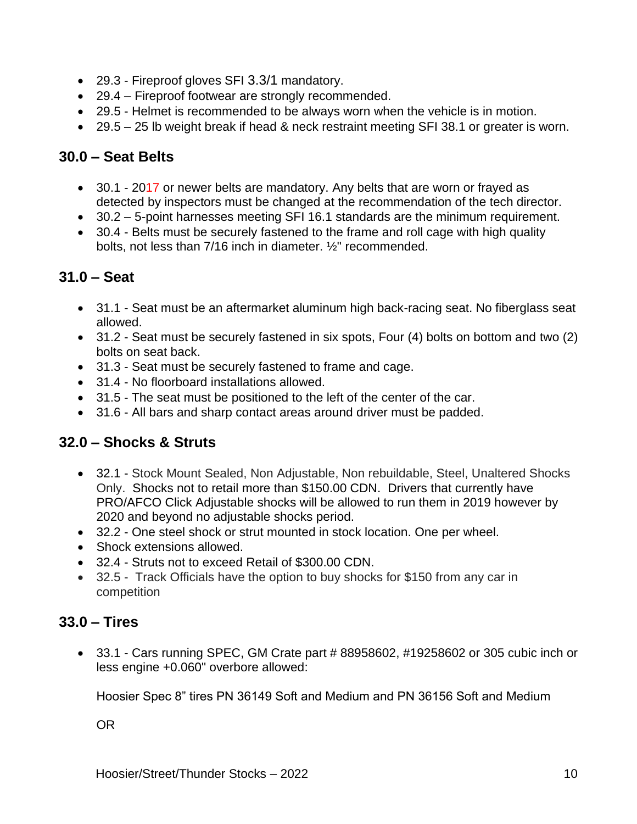- 29.3 Fireproof gloves SFI 3.3/1 mandatory.
- 29.4 Fireproof footwear are strongly recommended.
- 29.5 Helmet is recommended to be always worn when the vehicle is in motion.
- 29.5 25 lb weight break if head & neck restraint meeting SFI 38.1 or greater is worn.

# **30.0 – Seat Belts**

- 30.1 2017 or newer belts are mandatory. Any belts that are worn or frayed as detected by inspectors must be changed at the recommendation of the tech director.
- 30.2 5-point harnesses meeting SFI 16.1 standards are the minimum requirement.
- 30.4 Belts must be securely fastened to the frame and roll cage with high quality bolts, not less than 7/16 inch in diameter. ½" recommended.

# **31.0 – Seat**

- 31.1 Seat must be an aftermarket aluminum high back-racing seat. No fiberglass seat allowed.
- 31.2 Seat must be securely fastened in six spots, Four (4) bolts on bottom and two (2) bolts on seat back.
- 31.3 Seat must be securely fastened to frame and cage.
- 31.4 No floorboard installations allowed.
- 31.5 The seat must be positioned to the left of the center of the car.
- 31.6 All bars and sharp contact areas around driver must be padded.

# **32.0 – Shocks & Struts**

- 32.1 Stock Mount Sealed, Non Adjustable, Non rebuildable, Steel, Unaltered Shocks Only. Shocks not to retail more than \$150.00 CDN. Drivers that currently have PRO/AFCO Click Adjustable shocks will be allowed to run them in 2019 however by 2020 and beyond no adjustable shocks period.
- 32.2 One steel shock or strut mounted in stock location. One per wheel.
- Shock extensions allowed.
- 32.4 Struts not to exceed Retail of \$300.00 CDN.
- 32.5 Track Officials have the option to buy shocks for \$150 from any car in competition

# **33.0 – Tires**

• 33.1 - Cars running SPEC, GM Crate part # 88958602, #19258602 or 305 cubic inch or less engine +0.060" overbore allowed:

Hoosier Spec 8" tires PN 36149 Soft and Medium and PN 36156 Soft and Medium

OR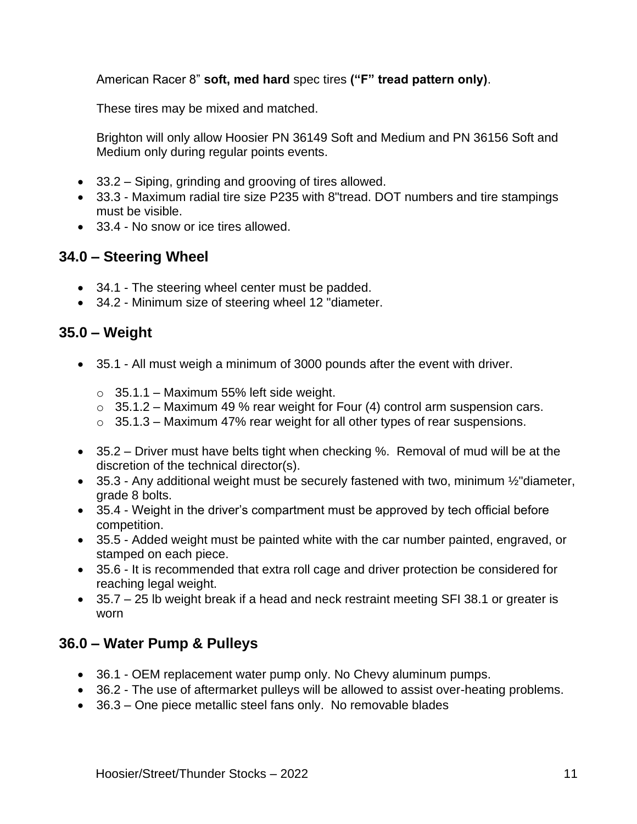American Racer 8" **soft, med hard** spec tires **("F" tread pattern only)**.

These tires may be mixed and matched.

Brighton will only allow Hoosier PN 36149 Soft and Medium and PN 36156 Soft and Medium only during regular points events.

- 33.2 Siping, grinding and grooving of tires allowed.
- 33.3 Maximum radial tire size P235 with 8"tread. DOT numbers and tire stampings must be visible.
- 33.4 No snow or ice tires allowed.

# **34.0 – Steering Wheel**

- 34.1 The steering wheel center must be padded.
- 34.2 Minimum size of steering wheel 12 "diameter.

# **35.0 – Weight**

- 35.1 All must weigh a minimum of 3000 pounds after the event with driver.
	- $\circ$  35.1.1 Maximum 55% left side weight.
	- $\circ$  35.1.2 Maximum 49 % rear weight for Four (4) control arm suspension cars.
	- $\circ$  35.1.3 Maximum 47% rear weight for all other types of rear suspensions.
- 35.2 Driver must have belts tight when checking %. Removal of mud will be at the discretion of the technical director(s).
- 35.3 Any additional weight must be securely fastened with two, minimum 1/2" diameter, grade 8 bolts.
- 35.4 Weight in the driver's compartment must be approved by tech official before competition.
- 35.5 Added weight must be painted white with the car number painted, engraved, or stamped on each piece.
- 35.6 It is recommended that extra roll cage and driver protection be considered for reaching legal weight.
- 35.7 25 lb weight break if a head and neck restraint meeting SFI 38.1 or greater is worn

# **36.0 – Water Pump & Pulleys**

- 36.1 OEM replacement water pump only. No Chevy aluminum pumps.
- 36.2 The use of aftermarket pulleys will be allowed to assist over-heating problems.
- 36.3 One piece metallic steel fans only. No removable blades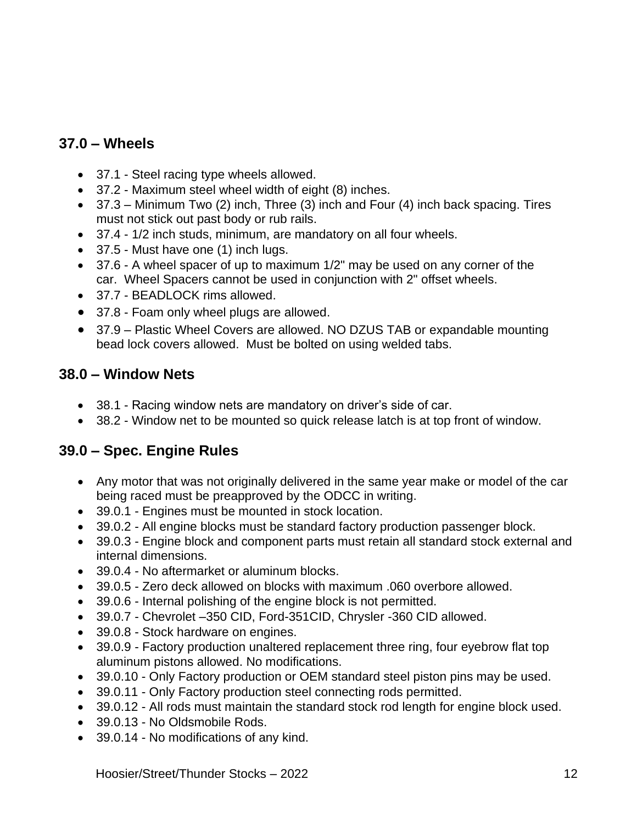# **37.0 – Wheels**

- 37.1 Steel racing type wheels allowed.
- 37.2 Maximum steel wheel width of eight (8) inches.
- $37.3$  Minimum Two (2) inch, Three (3) inch and Four (4) inch back spacing. Tires must not stick out past body or rub rails.
- 37.4 1/2 inch studs, minimum, are mandatory on all four wheels.
- 37.5 Must have one (1) inch lugs.
- 37.6 A wheel spacer of up to maximum 1/2" may be used on any corner of the car. Wheel Spacers cannot be used in conjunction with 2" offset wheels.
- 37.7 BEADLOCK rims allowed.
- 37.8 Foam only wheel plugs are allowed.
- 37.9 Plastic Wheel Covers are allowed. NO DZUS TAB or expandable mounting bead lock covers allowed. Must be bolted on using welded tabs.

# **38.0 – Window Nets**

- 38.1 Racing window nets are mandatory on driver's side of car.
- 38.2 Window net to be mounted so quick release latch is at top front of window.

# **39.0 – Spec. Engine Rules**

- Any motor that was not originally delivered in the same year make or model of the car being raced must be preapproved by the ODCC in writing.
- 39.0.1 Engines must be mounted in stock location.
- 39.0.2 All engine blocks must be standard factory production passenger block.
- 39.0.3 Engine block and component parts must retain all standard stock external and internal dimensions.
- 39.0.4 No aftermarket or aluminum blocks.
- 39.0.5 Zero deck allowed on blocks with maximum .060 overbore allowed.
- 39.0.6 Internal polishing of the engine block is not permitted.
- 39.0.7 Chevrolet –350 CID, Ford-351CID, Chrysler -360 CID allowed.
- 39.0.8 Stock hardware on engines.
- 39.0.9 Factory production unaltered replacement three ring, four eyebrow flat top aluminum pistons allowed. No modifications.
- 39.0.10 Only Factory production or OEM standard steel piston pins may be used.
- 39.0.11 Only Factory production steel connecting rods permitted.
- 39.0.12 All rods must maintain the standard stock rod length for engine block used.
- 39.0.13 No Oldsmobile Rods.
- 39.0.14 No modifications of any kind.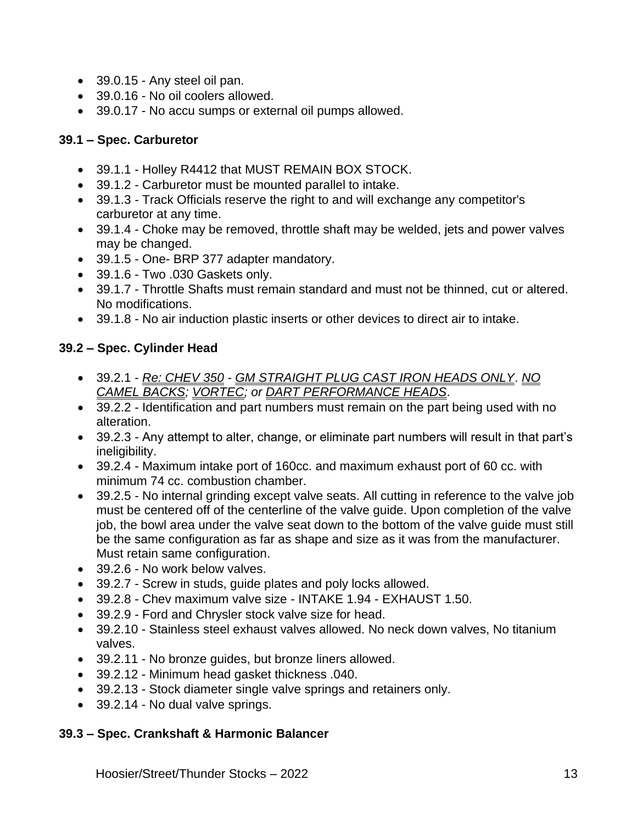- 39.0.15 Any steel oil pan.
- 39.0.16 No oil coolers allowed.
- 39.0.17 No accu sumps or external oil pumps allowed.

#### **39.1 – Spec. Carburetor**

- 39.1.1 Holley R4412 that MUST REMAIN BOX STOCK.
- 39.1.2 Carburetor must be mounted parallel to intake.
- 39.1.3 Track Officials reserve the right to and will exchange any competitor's carburetor at any time.
- 39.1.4 Choke may be removed, throttle shaft may be welded, jets and power valves may be changed.
- 39.1.5 One- BRP 377 adapter mandatory.
- 39.1.6 Two .030 Gaskets only.
- 39.1.7 Throttle Shafts must remain standard and must not be thinned, cut or altered. No modifications.
- 39.1.8 No air induction plastic inserts or other devices to direct air to intake.

#### **39.2 – Spec. Cylinder Head**

- 39.2.1 *Re: CHEV 350 - GM STRAIGHT PLUG CAST IRON HEADS ONLY*. *NO CAMEL BACKS; VORTEC; or DART PERFORMANCE HEADS*.
- 39.2.2 Identification and part numbers must remain on the part being used with no alteration.
- 39.2.3 Any attempt to alter, change, or eliminate part numbers will result in that part's ineligibility.
- 39.2.4 Maximum intake port of 160cc. and maximum exhaust port of 60 cc. with minimum 74 cc. combustion chamber.
- 39.2.5 No internal grinding except valve seats. All cutting in reference to the valve job must be centered off of the centerline of the valve guide. Upon completion of the valve job, the bowl area under the valve seat down to the bottom of the valve guide must still be the same configuration as far as shape and size as it was from the manufacturer. Must retain same configuration.
- 39.2.6 No work below valves.
- 39.2.7 Screw in studs, guide plates and poly locks allowed.
- 39.2.8 Chev maximum valve size INTAKE 1.94 EXHAUST 1.50.
- 39.2.9 Ford and Chrysler stock valve size for head.
- 39.2.10 Stainless steel exhaust valves allowed. No neck down valves, No titanium valves.
- 39.2.11 No bronze guides, but bronze liners allowed.
- 39.2.12 Minimum head gasket thickness .040.
- 39.2.13 Stock diameter single valve springs and retainers only.
- 39.2.14 No dual valve springs.

#### **39.3 – Spec. Crankshaft & Harmonic Balancer**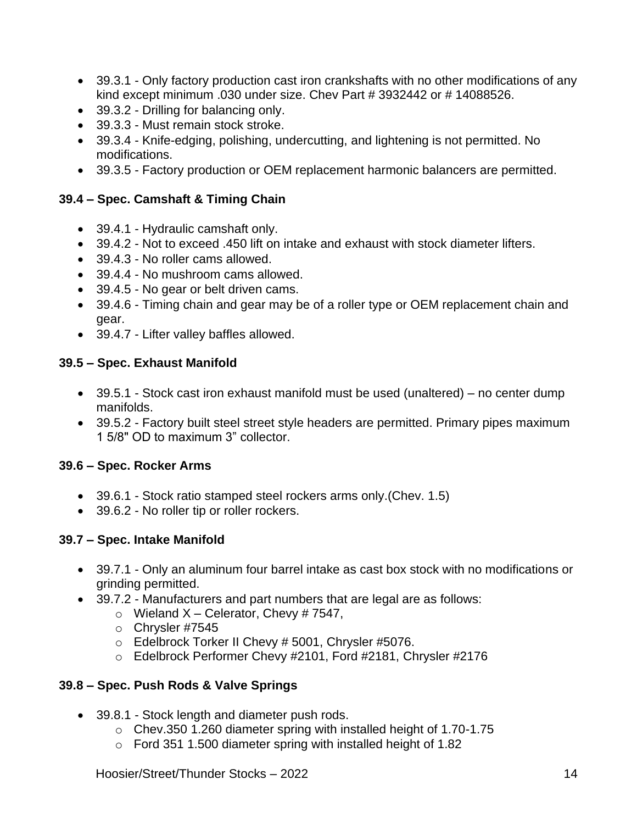- 39.3.1 Only factory production cast iron crankshafts with no other modifications of any kind except minimum .030 under size. Chev Part # 3932442 or # 14088526.
- 39.3.2 Drilling for balancing only.
- 39.3.3 Must remain stock stroke.
- 39.3.4 Knife-edging, polishing, undercutting, and lightening is not permitted. No modifications.
- 39.3.5 Factory production or OEM replacement harmonic balancers are permitted.

#### **39.4 – Spec. Camshaft & Timing Chain**

- 39.4.1 Hydraulic camshaft only.
- 39.4.2 Not to exceed .450 lift on intake and exhaust with stock diameter lifters.
- 39.4.3 No roller cams allowed.
- 39.4.4 No mushroom cams allowed.
- 39.4.5 No gear or belt driven cams.
- 39.4.6 Timing chain and gear may be of a roller type or OEM replacement chain and gear.
- 39.4.7 Lifter valley baffles allowed.

#### **39.5 – Spec. Exhaust Manifold**

- 39.5.1 Stock cast iron exhaust manifold must be used (unaltered) no center dump manifolds.
- 39.5.2 Factory built steel street style headers are permitted. Primary pipes maximum 1 5/8" OD to maximum 3" collector.

#### **39.6 – Spec. Rocker Arms**

- 39.6.1 Stock ratio stamped steel rockers arms only.(Chev. 1.5)
- 39.6.2 No roller tip or roller rockers.

#### **39.7 – Spec. Intake Manifold**

- 39.7.1 Only an aluminum four barrel intake as cast box stock with no modifications or grinding permitted.
- 39.7.2 Manufacturers and part numbers that are legal are as follows:
	- $\circ$  Wieland X Celerator, Chevy # 7547,
	- o Chrysler #7545
	- o Edelbrock Torker II Chevy # 5001, Chrysler #5076.
	- o Edelbrock Performer Chevy #2101, Ford #2181, Chrysler #2176

#### **39.8 – Spec. Push Rods & Valve Springs**

- 39.8.1 Stock length and diameter push rods.
	- o Chev.350 1.260 diameter spring with installed height of 1.70-1.75
	- o Ford 351 1.500 diameter spring with installed height of 1.82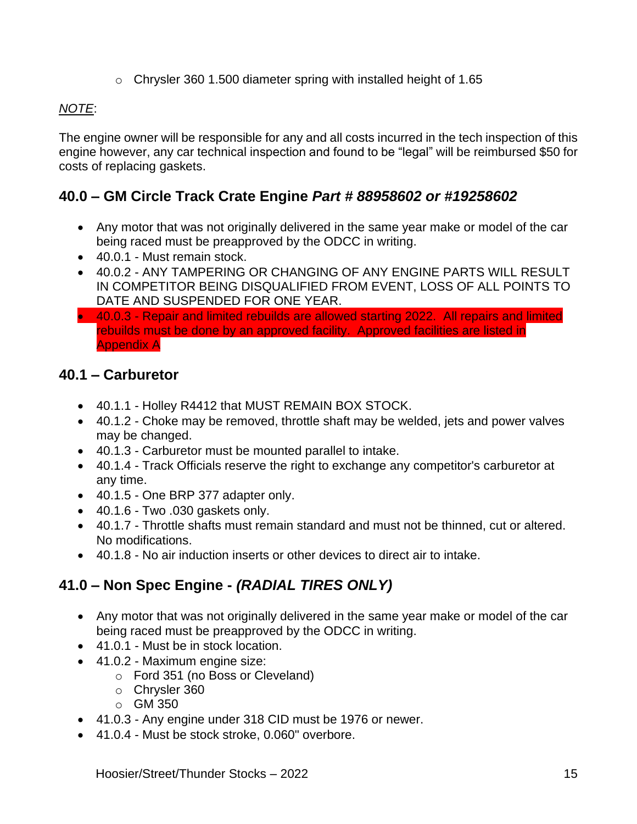o Chrysler 360 1.500 diameter spring with installed height of 1.65

#### *NOTE*:

The engine owner will be responsible for any and all costs incurred in the tech inspection of this engine however, any car technical inspection and found to be "legal" will be reimbursed \$50 for costs of replacing gaskets.

# **40.0 – GM Circle Track Crate Engine** *Part # 88958602 or #19258602*

- Any motor that was not originally delivered in the same year make or model of the car being raced must be preapproved by the ODCC in writing.
- 40.0.1 Must remain stock.
- 40.0.2 ANY TAMPERING OR CHANGING OF ANY ENGINE PARTS WILL RESULT IN COMPETITOR BEING DISQUALIFIED FROM EVENT, LOSS OF ALL POINTS TO DATE AND SUSPENDED FOR ONE YEAR.
- 40.0.3 Repair and limited rebuilds are allowed starting 2022. All repairs and limited rebuilds must be done by an approved facility. Approved facilities are listed in Appendix A

#### **40.1 – Carburetor**

- 40.1.1 Holley R4412 that MUST REMAIN BOX STOCK.
- 40.1.2 Choke may be removed, throttle shaft may be welded, jets and power valves may be changed.
- 40.1.3 Carburetor must be mounted parallel to intake.
- 40.1.4 Track Officials reserve the right to exchange any competitor's carburetor at any time.
- 40.1.5 One BRP 377 adapter only.
- 40.1.6 Two .030 gaskets only.
- 40.1.7 Throttle shafts must remain standard and must not be thinned, cut or altered. No modifications.
- 40.1.8 No air induction inserts or other devices to direct air to intake.

# **41.0 – Non Spec Engine -** *(RADIAL TIRES ONLY)*

- Any motor that was not originally delivered in the same year make or model of the car being raced must be preapproved by the ODCC in writing.
- 41.0.1 Must be in stock location.
- 41.0.2 Maximum engine size:
	- o Ford 351 (no Boss or Cleveland)
	- o Chrysler 360
	- o GM 350
- 41.0.3 Any engine under 318 CID must be 1976 or newer.
- 41.0.4 Must be stock stroke, 0.060" overbore.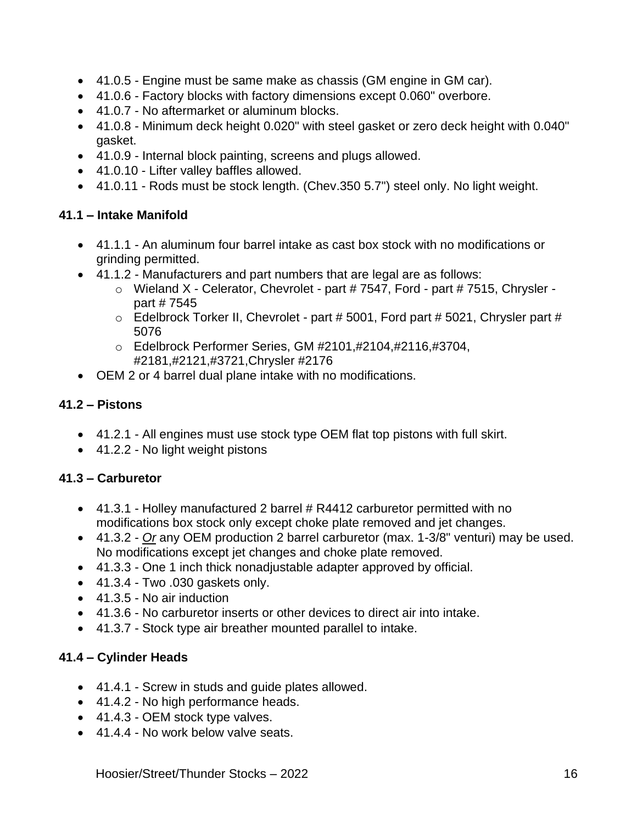- 41.0.5 Engine must be same make as chassis (GM engine in GM car).
- 41.0.6 Factory blocks with factory dimensions except 0.060" overbore.
- 41.0.7 No aftermarket or aluminum blocks.
- 41.0.8 Minimum deck height 0.020" with steel gasket or zero deck height with 0.040" gasket.
- 41.0.9 Internal block painting, screens and plugs allowed.
- 41.0.10 Lifter valley baffles allowed.
- 41.0.11 Rods must be stock length. (Chev.350 5.7") steel only. No light weight.

#### **41.1 – Intake Manifold**

- 41.1.1 An aluminum four barrel intake as cast box stock with no modifications or grinding permitted.
- 41.1.2 Manufacturers and part numbers that are legal are as follows:
	- o Wieland X Celerator, Chevrolet part # 7547, Ford part # 7515, Chrysler part # 7545
	- $\circ$  Edelbrock Torker II, Chevrolet part # 5001, Ford part # 5021, Chrysler part # 5076
	- o Edelbrock Performer Series, GM #2101,#2104,#2116,#3704, #2181,#2121,#3721,Chrysler #2176
- OEM 2 or 4 barrel dual plane intake with no modifications.

#### **41.2 – Pistons**

- 41.2.1 All engines must use stock type OEM flat top pistons with full skirt.
- 41.2.2 No light weight pistons

#### **41.3 – Carburetor**

- 41.3.1 Holley manufactured 2 barrel # R4412 carburetor permitted with no modifications box stock only except choke plate removed and jet changes.
- 41.3.2 *Or* any OEM production 2 barrel carburetor (max. 1-3/8" venturi) may be used. No modifications except jet changes and choke plate removed.
- 41.3.3 One 1 inch thick nonadjustable adapter approved by official.
- $\bullet$  41.3.4 Two .030 gaskets only.
- 41.3.5 No air induction
- 41.3.6 No carburetor inserts or other devices to direct air into intake.
- 41.3.7 Stock type air breather mounted parallel to intake.

#### **41.4 – Cylinder Heads**

- 41.4.1 Screw in studs and guide plates allowed.
- 41.4.2 No high performance heads.
- 41.4.3 OEM stock type valves.
- 41.4.4 No work below valve seats.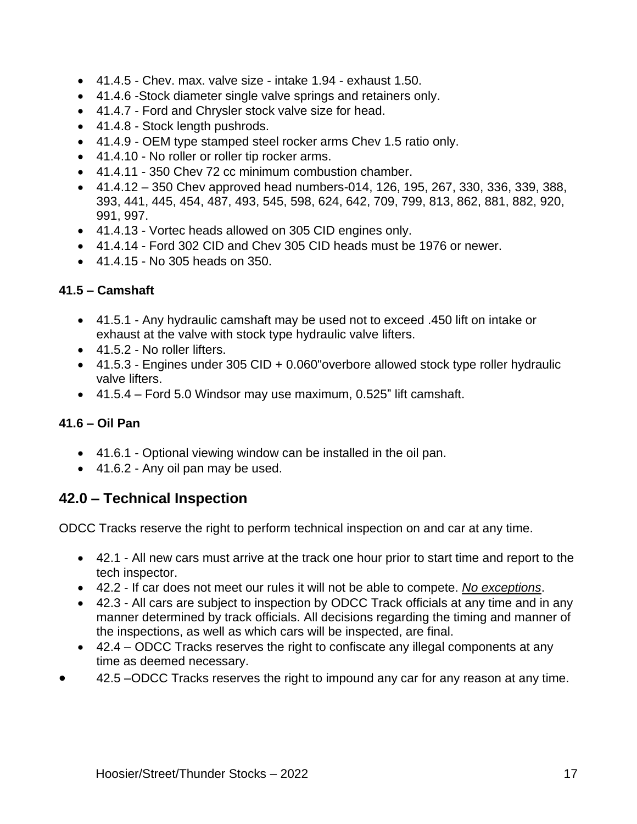- 41.4.5 Chev. max. valve size intake 1.94 exhaust 1.50.
- 41.4.6 -Stock diameter single valve springs and retainers only.
- 41.4.7 Ford and Chrysler stock valve size for head.
- 41.4.8 Stock length pushrods.
- 41.4.9 OEM type stamped steel rocker arms Chev 1.5 ratio only.
- 41.4.10 No roller or roller tip rocker arms.
- 41.4.11 350 Chev 72 cc minimum combustion chamber.
- $41.4.12 350$  Chev approved head numbers-014, 126, 195, 267, 330, 336, 339, 388, 393, 441, 445, 454, 487, 493, 545, 598, 624, 642, 709, 799, 813, 862, 881, 882, 920, 991, 997.
- 41.4.13 Vortec heads allowed on 305 CID engines only.
- 41.4.14 Ford 302 CID and Chev 305 CID heads must be 1976 or newer.
- 41.4.15 No 305 heads on 350.

#### **41.5 – Camshaft**

- 41.5.1 Any hydraulic camshaft may be used not to exceed .450 lift on intake or exhaust at the valve with stock type hydraulic valve lifters.
- 41.5.2 No roller lifters.
- 41.5.3 Engines under 305 CID + 0.060" overbore allowed stock type roller hydraulic valve lifters.
- 41.5.4 Ford 5.0 Windsor may use maximum, 0.525" lift camshaft.

#### **41.6 – Oil Pan**

- 41.6.1 Optional viewing window can be installed in the oil pan.
- 41.6.2 Any oil pan may be used.

# **42.0 – Technical Inspection**

ODCC Tracks reserve the right to perform technical inspection on and car at any time.

- 42.1 All new cars must arrive at the track one hour prior to start time and report to the tech inspector.
- 42.2 If car does not meet our rules it will not be able to compete. *No exceptions*.
- 42.3 All cars are subject to inspection by ODCC Track officials at any time and in any manner determined by track officials. All decisions regarding the timing and manner of the inspections, as well as which cars will be inspected, are final.
- 42.4 ODCC Tracks reserves the right to confiscate any illegal components at any time as deemed necessary.
- 42.5 –ODCC Tracks reserves the right to impound any car for any reason at any time.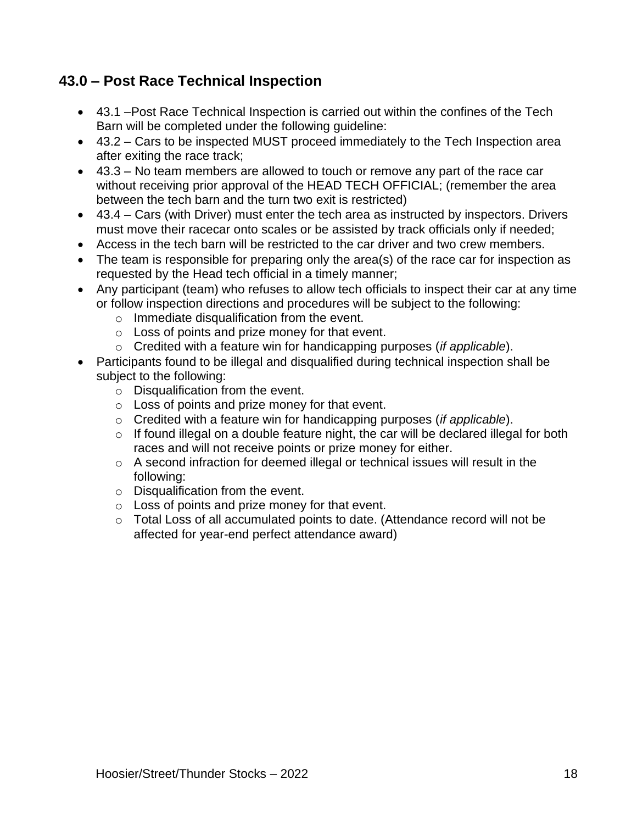# **43.0 – Post Race Technical Inspection**

- 43.1 –Post Race Technical Inspection is carried out within the confines of the Tech Barn will be completed under the following guideline:
- 43.2 Cars to be inspected MUST proceed immediately to the Tech Inspection area after exiting the race track;
- 43.3 No team members are allowed to touch or remove any part of the race car without receiving prior approval of the HEAD TECH OFFICIAL; (remember the area between the tech barn and the turn two exit is restricted)
- 43.4 Cars (with Driver) must enter the tech area as instructed by inspectors. Drivers must move their racecar onto scales or be assisted by track officials only if needed;
- Access in the tech barn will be restricted to the car driver and two crew members.
- The team is responsible for preparing only the area(s) of the race car for inspection as requested by the Head tech official in a timely manner;
- Any participant (team) who refuses to allow tech officials to inspect their car at any time or follow inspection directions and procedures will be subject to the following:
	- o Immediate disqualification from the event.
	- o Loss of points and prize money for that event.
	- o Credited with a feature win for handicapping purposes (*if applicable*).
- Participants found to be illegal and disqualified during technical inspection shall be subject to the following:
	- $\circ$  Disqualification from the event.
	- o Loss of points and prize money for that event.
	- o Credited with a feature win for handicapping purposes (*if applicable*).
	- $\circ$  If found illegal on a double feature night, the car will be declared illegal for both races and will not receive points or prize money for either.
	- o A second infraction for deemed illegal or technical issues will result in the following:
	- o Disqualification from the event.
	- o Loss of points and prize money for that event.
	- o Total Loss of all accumulated points to date. (Attendance record will not be affected for year-end perfect attendance award)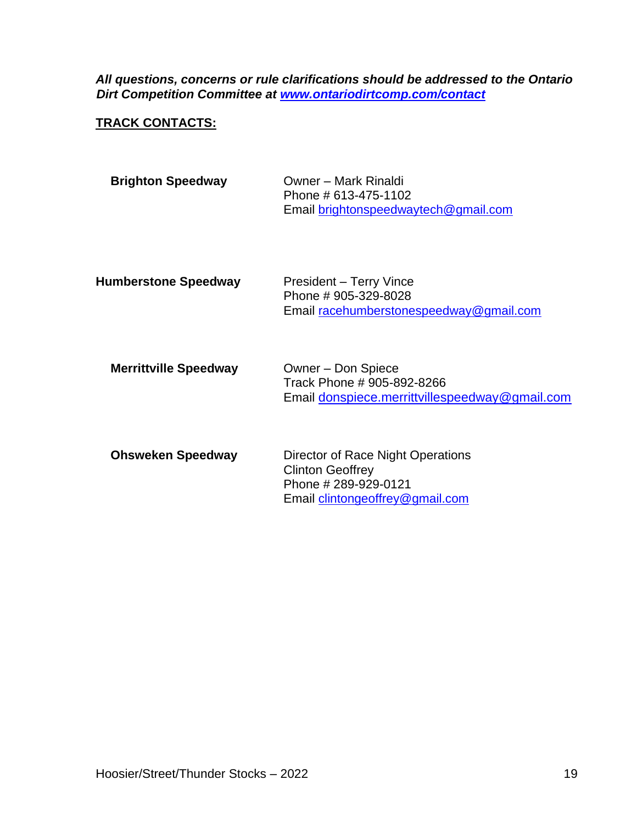*All questions, concerns or rule clarifications should be addressed to the Ontario Dirt Competition Committee at [www.ontariodirtcomp.com/contact](http://www.ontariodirtcomp.com/contact)*

#### **TRACK CONTACTS:**

| <b>Brighton Speedway</b>     | Owner - Mark Rinaldi<br>Phone # 613-475-1102<br>Email brightonspeedwaytech@gmail.com                                   |
|------------------------------|------------------------------------------------------------------------------------------------------------------------|
| <b>Humberstone Speedway</b>  | President – Terry Vince<br>Phone #905-329-8028<br>Email racehumberstonespeedway@gmail.com                              |
| <b>Merrittville Speedway</b> | Owner - Don Spiece<br>Track Phone # 905-892-8266<br>Email donspiece.merrittvillespeedway@gmail.com                     |
| <b>Ohsweken Speedway</b>     | Director of Race Night Operations<br><b>Clinton Geoffrey</b><br>Phone #289-929-0121<br>Email clintongeoffrey@gmail.com |